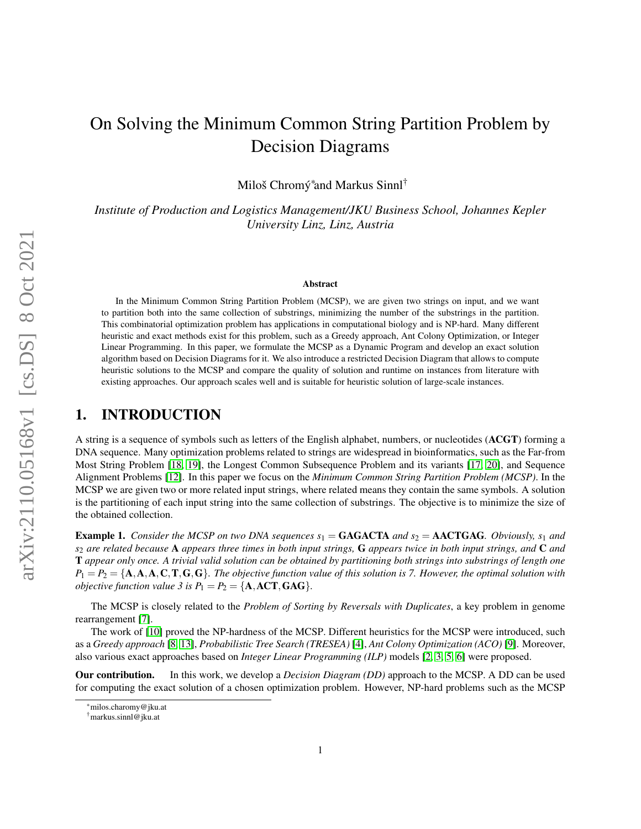# On Solving the Minimum Common String Partition Problem by Decision Diagrams

Miloš Chromý $^*$ and Markus Sinnl $^\dagger$ 

*Institute of Production and Logistics Management/JKU Business School, Johannes Kepler University Linz, Linz, Austria*

#### Abstract

In the Minimum Common String Partition Problem (MCSP), we are given two strings on input, and we want to partition both into the same collection of substrings, minimizing the number of the substrings in the partition. This combinatorial optimization problem has applications in computational biology and is NP-hard. Many different heuristic and exact methods exist for this problem, such as a Greedy approach, Ant Colony Optimization, or Integer Linear Programming. In this paper, we formulate the MCSP as a Dynamic Program and develop an exact solution algorithm based on Decision Diagrams for it. We also introduce a restricted Decision Diagram that allows to compute heuristic solutions to the MCSP and compare the quality of solution and runtime on instances from literature with existing approaches. Our approach scales well and is suitable for heuristic solution of large-scale instances.

# 1. INTRODUCTION

A string is a sequence of symbols such as letters of the English alphabet, numbers, or nucleotides (ACGT) forming a DNA sequence. Many optimization problems related to strings are widespread in bioinformatics, such as the Far-from Most String Problem [\[18,](#page-11-0) [19\]](#page-11-1), the Longest Common Subsequence Problem and its variants [\[17,](#page-11-2) [20\]](#page-11-3), and Sequence Alignment Problems [\[12\]](#page-11-4). In this paper we focus on the *Minimum Common String Partition Problem (MCSP)*. In the MCSP we are given two or more related input strings, where related means they contain the same symbols. A solution is the partitioning of each input string into the same collection of substrings. The objective is to minimize the size of the obtained collection.

<span id="page-0-0"></span>**Example 1.** *Consider the MCSP on two DNA sequences*  $s_1 = \textbf{GAGACTA}$  *and*  $s_2 = \textbf{AACTGAG}$ *. Obviously,*  $s_1$  *and s*<sup>2</sup> *are related because* A *appears three times in both input strings,* G *appears twice in both input strings, and* C *and* T *appear only once. A trivial valid solution can be obtained by partitioning both strings into substrings of length one*  $P_1 = P_2 = \{A, A, A, C, T, G, G\}$ *. The objective function value of this solution is 7. However, the optimal solution with objective function value 3 is*  $P_1 = P_2 = \{A, ACT, GAG\}.$ 

The MCSP is closely related to the *Problem of Sorting by Reversals with Duplicates*, a key problem in genome rearrangement [\[7\]](#page-11-5).

The work of [\[10\]](#page-11-6) proved the NP-hardness of the MCSP. Different heuristics for the MCSP were introduced, such as a *Greedy approach* [\[8,](#page-11-7) [13\]](#page-11-8), *Probabilistic Tree Search (TRESEA)* [\[4\]](#page-10-0), *Ant Colony Optimization (ACO)* [\[9\]](#page-11-9). Moreover, also various exact approaches based on *Integer Linear Programming (ILP)* models [\[2,](#page-10-1) [3,](#page-10-2) [5,](#page-11-10) [6\]](#page-11-11) were proposed.

Our contribution. In this work, we develop a *Decision Diagram (DD)* approach to the MCSP. A DD can be used for computing the exact solution of a chosen optimization problem. However, NP-hard problems such as the MCSP

<sup>\*</sup>milos.charomy@jku.at

<sup>†</sup>markus.sinnl@jku.at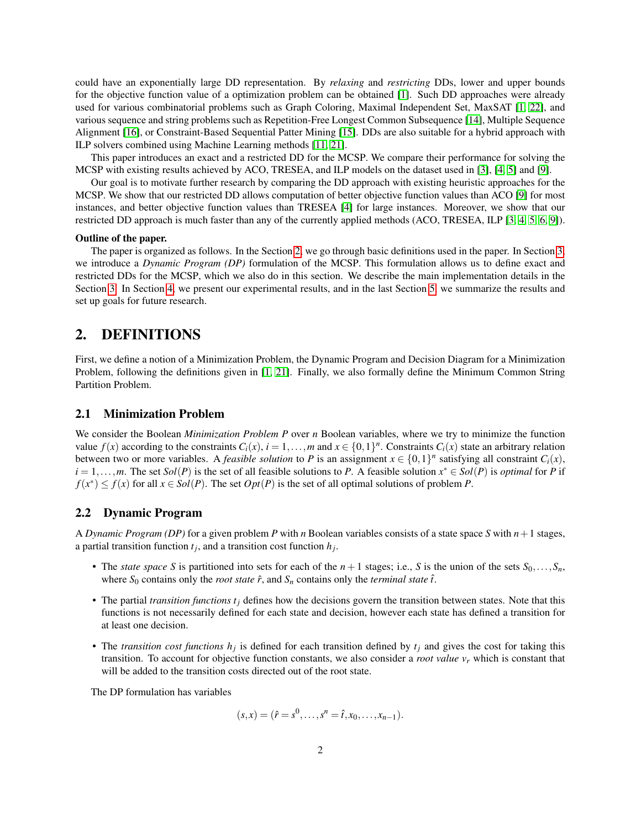could have an exponentially large DD representation. By *relaxing* and *restricting* DDs, lower and upper bounds for the objective function value of a optimization problem can be obtained [\[1\]](#page-10-3). Such DD approaches were already used for various combinatorial problems such as Graph Coloring, Maximal Independent Set, MaxSAT [\[1,](#page-10-3) [22\]](#page-11-12), and various sequence and string problems such as Repetition-Free Longest Common Subsequence [\[14\]](#page-11-13), Multiple Sequence Alignment [\[16\]](#page-11-14), or Constraint-Based Sequential Patter Mining [\[15\]](#page-11-15). DDs are also suitable for a hybrid approach with ILP solvers combined using Machine Learning methods [\[11,](#page-11-16) [21\]](#page-11-17).

This paper introduces an exact and a restricted DD for the MCSP. We compare their performance for solving the MCSP with existing results achieved by ACO, TRESEA, and ILP models on the dataset used in [\[3\]](#page-10-2), [\[4,](#page-10-0) [5\]](#page-11-10) and [\[9\]](#page-11-9).

Our goal is to motivate further research by comparing the DD approach with existing heuristic approaches for the MCSP. We show that our restricted DD allows computation of better objective function values than ACO [\[9\]](#page-11-9) for most instances, and better objective function values than TRESEA [\[4\]](#page-10-0) for large instances. Moreover, we show that our restricted DD approach is much faster than any of the currently applied methods (ACO, TRESEA, ILP [\[3,](#page-10-2) [4,](#page-10-0) [5,](#page-11-10) [6,](#page-11-11) [9\]](#page-11-9)).

#### Outline of the paper.

The paper is organized as follows. In the Section [2,](#page-1-0) we go through basic definitions used in the paper. In Section [3,](#page-2-0) we introduce a *Dynamic Program (DP)* formulation of the MCSP. This formulation allows us to define exact and restricted DDs for the MCSP, which we also do in this section. We describe the main implementation details in the Section [3.](#page-2-0) In Section [4,](#page-5-0) we present our experimental results, and in the last Section [5,](#page-9-0) we summarize the results and set up goals for future research.

# <span id="page-1-0"></span>2. DEFINITIONS

First, we define a notion of a Minimization Problem, the Dynamic Program and Decision Diagram for a Minimization Problem, following the definitions given in [\[1,](#page-10-3) [21\]](#page-11-17). Finally, we also formally define the Minimum Common String Partition Problem.

#### 2.1 Minimization Problem

We consider the Boolean *Minimization Problem P* over *n* Boolean variables, where we try to minimize the function value  $f(x)$  according to the constraints  $C_i(x)$ ,  $i = 1, ..., m$  and  $x \in \{0, 1\}^n$ . Constraints  $C_i(x)$  state an arbitrary relation between two or more variables. A *feasible solution* to *P* is an assignment  $x \in \{0,1\}^n$  satisfying all constraint  $C_i(x)$ ,  $i = 1, \ldots, m$ . The set  $Sol(P)$  is the set of all feasible solutions to *P*. A feasible solution  $x^* \in Sol(P)$  is *optimal* for *P* if  $f(x^*) \le f(x)$  for all  $x \in Sol(P)$ . The set  $Opt(P)$  is the set of all optimal solutions of problem *P*.

#### 2.2 Dynamic Program

A *Dynamic Program (DP)* for a given problem *P* with *n* Boolean variables consists of a state space *S* with  $n+1$  stages, a partial transition function  $t_j$ , and a transition cost function  $h_j$ .

- The *state space S* is partitioned into sets for each of the  $n+1$  stages; i.e., *S* is the union of the sets  $S_0, \ldots, S_n$ , where  $S_0$  contains only the *root state*  $\hat{r}$ , and  $S_n$  contains only the *terminal state*  $\hat{t}$ .
- The partial *transition functions t<sup>j</sup>* defines how the decisions govern the transition between states. Note that this functions is not necessarily defined for each state and decision, however each state has defined a transition for at least one decision.
- The *transition cost functions*  $h_j$  is defined for each transition defined by  $t_j$  and gives the cost for taking this transition. To account for objective function constants, we also consider a *root value v<sup>r</sup>* which is constant that will be added to the transition costs directed out of the root state.

The DP formulation has variables

$$
(s,x) = (\hat{r} = s^0, \ldots, s^n = \hat{r}, x_0, \ldots, x_{n-1}).
$$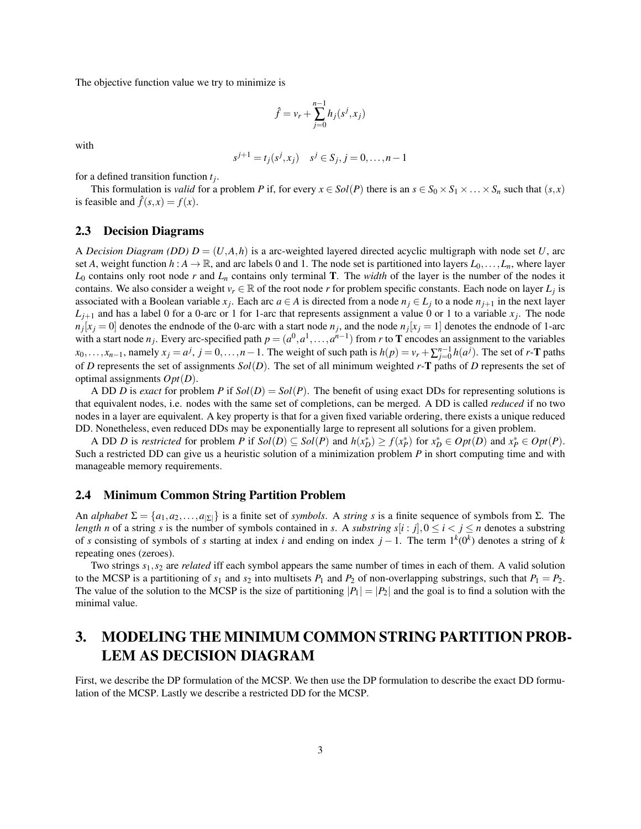The objective function value we try to minimize is

$$
\hat{f} = v_r + \sum_{j=0}^{n-1} h_j(s^j, x_j)
$$

with

$$
s^{j+1} = t_j(s^j, x_j) \quad s^j \in S_j, j = 0, \dots, n-1
$$

for a defined transition function *t<sup>j</sup>* .

This formulation is *valid* for a problem *P* if, for every  $x \in Sol(P)$  there is an  $s \in S_0 \times S_1 \times \ldots \times S_n$  such that  $(s, x)$ is feasible and  $\hat{f}(s, x) = f(x)$ .

#### 2.3 Decision Diagrams

A *Decision Diagram (DD)*  $D = (U, A, h)$  is a arc-weighted layered directed acyclic multigraph with node set U, arc set *A*, weight function  $h : A \to \mathbb{R}$ , and arc labels 0 and 1. The node set is partitioned into layers  $L_0, \ldots, L_n$ , where layer  $L_0$  contains only root node *r* and  $L_n$  contains only terminal **T**. The *width* of the layer is the number of the nodes it contains. We also consider a weight  $v_r \in \mathbb{R}$  of the root node *r* for problem specific constants. Each node on layer  $L_j$  is associated with a Boolean variable  $x_j$ . Each arc  $a \in A$  is directed from a node  $n_j \in L_j$  to a node  $n_{j+1}$  in the next layer  $L_{j+1}$  and has a label 0 for a 0-arc or 1 for 1-arc that represents assignment a value 0 or 1 to a variable  $x_j$ . The node  $n_j$ [ $x_j$  = 0] denotes the endnode of the 0-arc with a start node  $n_j$ , and the node  $n_j$ [ $x_j$  = 1] denotes the endnode of 1-arc with a start node  $n_j$ . Every arc-specified path  $p = (a^0, a^1, \ldots, a^{n-1})$  from *r* to **T** encodes an assignment to the variables  $x_0, \ldots, x_{n-1}$ , namely  $x_j = a^j$ ,  $j = 0, \ldots, n-1$ . The weight of such path is  $h(p) = v_r + \sum_{j=0}^{n-1} h(a^j)$ . The set of r-**T** paths of *D* represents the set of assignments *Sol*(*D*). The set of all minimum weighted *r*-T paths of *D* represents the set of optimal assignments *Opt*(*D*).

A DD *D* is *exact* for problem *P* if  $Sol(D) = Sol(P)$ . The benefit of using exact DDs for representing solutions is that equivalent nodes, i.e. nodes with the same set of completions, can be merged. A DD is called *reduced* if no two nodes in a layer are equivalent. A key property is that for a given fixed variable ordering, there exists a unique reduced DD. Nonetheless, even reduced DDs may be exponentially large to represent all solutions for a given problem.

A DD *D* is *restricted* for problem *P* if  $Sol(D) \subseteq Sol(P)$  and  $h(x_D^*) \ge f(x_P^*)$  for  $x_D^* \in Opt(D)$  and  $x_P^* \in Opt(P)$ . Such a restricted DD can give us a heuristic solution of a minimization problem *P* in short computing time and with manageable memory requirements.

#### 2.4 Minimum Common String Partition Problem

An *alphabet*  $\Sigma = \{a_1, a_2, \ldots, a_{|\Sigma|}\}$  is a finite set of *symbols*. A *string s* is a finite sequence of symbols from  $\Sigma$ . The *length n* of a string *s* is the number of symbols contained in *s*. A *substring*  $s[i : j]$ ,  $0 \le i \le j \le n$  denotes a substring of *s* consisting of symbols of *s* starting at index *i* and ending on index *j* − 1. The term 1*<sup>k</sup>* (0*k* ) denotes a string of *k* repeating ones (zeroes).

Two strings *s*1,*s*<sup>2</sup> are *related* iff each symbol appears the same number of times in each of them. A valid solution to the MCSP is a partitioning of  $s_1$  and  $s_2$  into multisets  $P_1$  and  $P_2$  of non-overlapping substrings, such that  $P_1 = P_2$ . The value of the solution to the MCSP is the size of partitioning  $|P_1| = |P_2|$  and the goal is to find a solution with the minimal value.

# <span id="page-2-0"></span>3. MODELING THE MINIMUM COMMON STRING PARTITION PROB-LEM AS DECISION DIAGRAM

First, we describe the DP formulation of the MCSP. We then use the DP formulation to describe the exact DD formulation of the MCSP. Lastly we describe a restricted DD for the MCSP.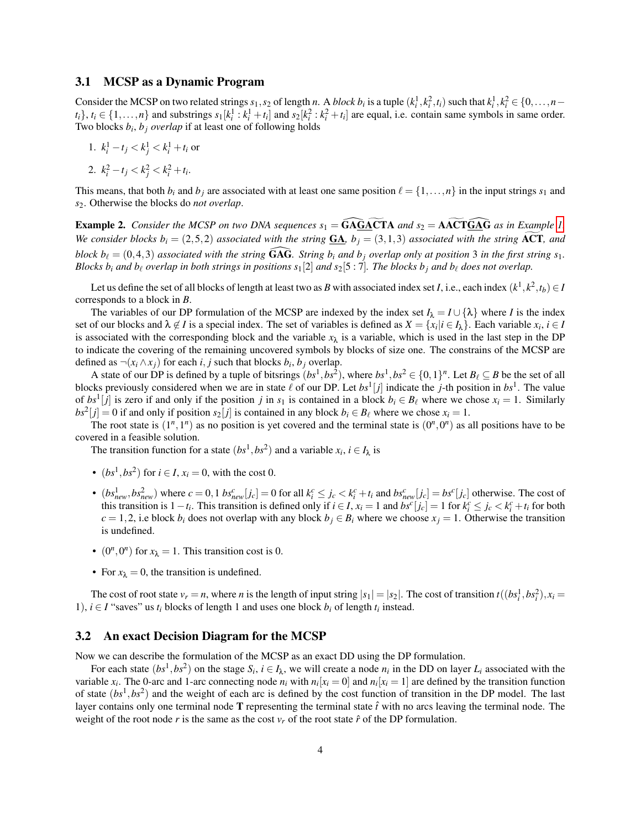#### <span id="page-3-0"></span>3.1 MCSP as a Dynamic Program

Consider the MCSP on two related strings  $s_1, s_2$  of length *n*. A *block b<sub>i</sub>* is a tuple  $(k_i^1, k_i^2, t_i)$  such that  $k_i^1, k_i^2 \in \{0, ..., n-1\}$  $t_i$ ,  $t_i \in \{1, ..., n\}$  and substrings  $s_1[k_i^1 : k_i^1 + t_i]$  and  $s_2[k_i^2 : k_i^2 + t_i]$  are equal, i.e. contain same symbols in same order. Two blocks *b<sup>i</sup>* , *b<sup>j</sup> overlap* if at least one of following holds

1.  $k_i^1 - t_j < k_j^1 < k_i^1 + t_i$  or

2. 
$$
k_i^2 - t_j < k_j^2 < k_i^2 + t_i
$$
.

This means, that both  $b_i$  and  $b_j$  are associated with at least one same position  $\ell = \{1, \ldots, n\}$  in the input strings  $s_1$  and *s*2. Otherwise the blocks do *not overlap*.

**Example 2.** *Consider the MCSP on two DNA sequences*  $s_1 = \widehat{GAGACTA}$  *and*  $s_2 = \widehat{AACTGAG}$  *as in Example [1.](#page-0-0) We consider blocks*  $b_i = (2,5,2)$  *associated with the string*  $GA$ *,*  $b_j = (3,1,3)$  *associated with the string* **ACT***, and block b*<sub> $\ell$ </sub> = (0,4,3) *associated with the string* GAG. *String b<sub>i</sub> and b<sub>i</sub> overlap only at position* 3 *in the first string s*<sub>1</sub>. *Blocks*  $b_i$  *and*  $b_\ell$  *overlap in both strings in positions*  $s_1[2]$  *and*  $s_2[5:7]$ *. The blocks*  $b_j$  *and*  $b_\ell$  *does not overlap.* 

Let us define the set of all blocks of length at least two as  $B$  with associated index set  $I$ , i.e., each index  $(k^1, k^2, t_b) \in I$ corresponds to a block in *B*.

The variables of our DP formulation of the MCSP are indexed by the index set  $I_\lambda = I \cup \{\lambda\}$  where *I* is the index set of our blocks and  $\lambda \notin I$  is a special index. The set of variables is defined as  $X = \{x_i | i \in I_\lambda\}$ . Each variable  $x_i, i \in I$ is associated with the corresponding block and the variable  $x<sub>\lambda</sub>$  is a variable, which is used in the last step in the DP to indicate the covering of the remaining uncovered symbols by blocks of size one. The constrains of the MCSP are defined as  $\neg(x_i \land x_j)$  for each *i*, *j* such that blocks  $b_i$ ,  $b_j$  overlap.

A state of our DP is defined by a tuple of bitsrings  $(bs^1, bs^2)$ , where  $bs^1, bs^2 \in \{0,1\}^n$ . Let  $B_\ell \subseteq B$  be the set of all blocks previously considered when we are in state  $\ell$  of our DP. Let  $bs^1[j]$  indicate the *j*-th position in  $bs^1$ . The value of  $bs^1[j]$  is zero if and only if the position *j* in  $s_1$  is contained in a block  $b_i \in B_\ell$  where we chose  $x_i = 1$ . Similarly  $bs^2[j] = 0$  if and only if position  $s_2[j]$  is contained in any block  $b_i \in B_\ell$  where we chose  $x_i = 1$ .

The root state is  $(1^n, 1^n)$  as no position is yet covered and the terminal state is  $(0^n, 0^n)$  as all positions have to be covered in a feasible solution.

The transition function for a state  $(bs^1, bs^2)$  and a variable  $x_i$ ,  $i \in I_\lambda$  is

- $(bs^1, bs^2)$  for  $i \in I$ ,  $x_i = 0$ , with the cost 0.
- $(bs_{new}^1, bs_{new}^2)$  where  $c = 0, 1$   $bs_{new}^c[j_c] = 0$  for all  $k_i^c \le j_c < k_i^c + t_i$  and  $bs_{new}^c[j_c] = bs^c[j_c]$  otherwise. The cost of this transition is  $1-t_i$ . This transition is defined only if  $i \in I$ ,  $x_i = 1$  and  $bs^c[j_c] = 1$  for  $k_i^c \le j_c < k_i^c + t_i$  for both *c* = 1,2, i.e block *b<sub>i</sub>* does not overlap with any block  $b_j \in B_i$  where we choose  $x_j = 1$ . Otherwise the transition is undefined.
- $(0^n, 0^n)$  for  $x_\lambda = 1$ . This transition cost is 0.
- For  $x_{\lambda} = 0$ , the transition is undefined.

The cost of root state  $v_r = n$ , where *n* is the length of input string  $|s_1| = |s_2|$ . The cost of transition  $t((bs_i^1, bs_i^2), x_i =$ 1), *i* ∈ *I* "saves" us  $t_i$  blocks of length 1 and uses one block  $b_i$  of length  $t_i$  instead.

#### 3.2 An exact Decision Diagram for the MCSP

Now we can describe the formulation of the MCSP as an exact DD using the DP formulation.

For each state  $(bs^1, bs^2)$  on the stage  $S_i$ ,  $i \in I_\lambda$ , we will create a node  $n_i$  in the DD on layer  $L_i$  associated with the variable  $x_i$ . The 0-arc and 1-arc connecting node  $n_i$  with  $n_i[x_i = 0]$  and  $n_i[x_i = 1]$  are defined by the transition function of state  $(bs<sup>1</sup>, bs<sup>2</sup>)$  and the weight of each arc is defined by the cost function of transition in the DP model. The last layer contains only one terminal node  $T$  representing the terminal state  $\hat{t}$  with no arcs leaving the terminal node. The weight of the root node *r* is the same as the cost  $v_r$  of the root state  $\hat{r}$  of the DP formulation.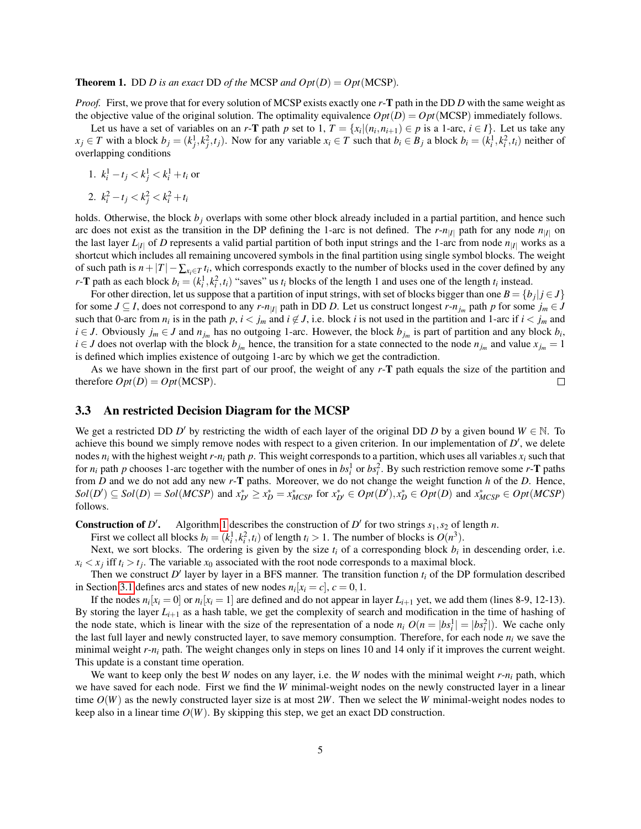**Theorem 1.** DD *D* is an exact DD of the MCSP and  $Opt(D) = Opt(MCSP)$ .

*Proof.* First, we prove that for every solution of MCSP exists exactly one *r*-T path in the DD *D* with the same weight as the objective value of the original solution. The optimality equivalence  $Opt(D) = Opt(MCSP)$  immediately follows.

Let us have a set of variables on an *r*-T path *p* set to 1,  $T = \{x_i | (n_i, n_{i+1}) \in p \text{ is a 1-arc, } i \in I\}$ . Let us take any  $x_j \in T$  with a block  $b_j = (k_j^1, k_j^2, t_j)$ . Now for any variable  $x_i \in T$  such that  $b_i \in B_j$  a block  $b_i = (k_i^1, k_i^2, t_i)$  neither of overlapping conditions

1. 
$$
k_i^1 - t_j < k_j^1 < k_i^1 + t_i
$$
 or

2. 
$$
k_i^2 - t_j < k_j^2 < k_i^2 + t_i
$$

holds. Otherwise, the block  $b_j$  overlaps with some other block already included in a partial partition, and hence such arc does not exist as the transition in the DP defining the 1-arc is not defined. The  $r$ - $n_{|I|}$  path for any node  $n_{|I|}$  on the last layer  $L_{|I|}$  of *D* represents a valid partial partition of both input strings and the 1-arc from node  $n_{|I|}$  works as a shortcut which includes all remaining uncovered symbols in the final partition using single symbol blocks. The weight of such path is  $n+|T| - \sum_{x_i \in T} t_i$ , which corresponds exactly to the number of blocks used in the cover defined by any *r*-**T** path as each block  $b_i = (k_i^1, k_i^2, t_i)$  "saves" us  $t_i$  blocks of the length 1 and uses one of the length  $t_i$  instead.

For other direction, let us suppose that a partition of input strings, with set of blocks bigger than one  $B = \{b_j | j \in J\}$ for some  $J \subseteq I$ , does not correspond to any  $r$ - $n_{|I|}$  path in DD *D*. Let us construct longest  $r$ - $n_{j_m}$  path  $p$  for some  $j_m \in J$ such that 0-arc from  $n_i$  is in the path  $p, i < j_m$  and  $i \notin J$ , i.e. block *i* is not used in the partition and 1-arc if  $i < j_m$  and *i* ∈ *J*. Obviously  $j_m$  ∈ *J* and  $n_{j_m}$  has no outgoing 1-arc. However, the block  $b_{j_m}$  is part of partition and any block  $b_i$ , *i* ∈ *J* does not overlap with the block  $b_{j_m}$  hence, the transition for a state connected to the node  $n_{j_m}$  and value  $x_{j_m} = 1$ is defined which implies existence of outgoing 1-arc by which we get the contradiction.

As we have shown in the first part of our proof, the weight of any *r*-T path equals the size of the partition and therefore  $Opt(D) = Opt(MCSP)$ .  $\Box$ 

#### 3.3 An restricted Decision Diagram for the MCSP

We get a restricted DD *D'* by restricting the width of each layer of the original DD *D* by a given bound  $W \in \mathbb{N}$ . To achieve this bound we simply remove nodes with respect to a given criterion. In our implementation of  $D'$ , we delete nodes  $n_i$  with the highest weight  $r - n_i$  path p. This weight corresponds to a partition, which uses all variables  $x_i$  such that for  $n_i$  path  $p$  chooses 1-arc together with the number of ones in  $bs_i^1$  or  $bs_i^2$ . By such restriction remove some  $r$ -**T** paths from *D* and we do not add any new *r*-T paths. Moreover, we do not change the weight function *h* of the *D*. Hence,  $Sol(D') \subseteq Sol(D) = Sol(MCSP)$  and  $x_{D'}^* \ge x_D^* = x_{MCSP}^*$  for  $x_{D'}^* \in Opt(D')$ ,  $x_D^* \in Opt(D)$  and  $x_{MCSP}^* \in Opt(MCSP)$ follows.

**Construction of D'.** Algorithm [1](#page-5-1) describes the construction of  $D'$  for two strings  $s_1, s_2$  of length *n*.

First we collect all blocks  $b_i = (k_i^1, k_i^2, t_i)$  of length  $t_i > 1$ . The number of blocks is  $O(n^3)$ .

Next, we sort blocks. The ordering is given by the size  $t_i$  of a corresponding block  $b_i$  in descending order, i.e.  $x_i < x_j$  iff  $t_i > t_j$ . The variable  $x_0$  associated with the root node corresponds to a maximal block.

Then we construct  $D'$  layer by layer in a BFS manner. The transition function  $t_i$  of the DP formulation described in Section [3.1](#page-3-0) defines arcs and states of new nodes  $n_i[x_i = c]$ ,  $c = 0, 1$ .

If the nodes  $n_i[x_i = 0]$  or  $n_i[x_i = 1]$  are defined and do not appear in layer  $L_{i+1}$  yet, we add them (lines 8-9, 12-13). By storing the layer  $L_{i+1}$  as a hash table, we get the complexity of search and modification in the time of hashing of the node state, which is linear with the size of the representation of a node  $n_i O(n = |bs_i^1| = |bs_i^2|)$ . We cache only the last full layer and newly constructed layer, to save memory consumption. Therefore, for each node  $n_i$  we save the minimal weight  $r - n_i$  path. The weight changes only in steps on lines 10 and 14 only if it improves the current weight. This update is a constant time operation.

We want to keep only the best *W* nodes on any layer, i.e. the *W* nodes with the minimal weight *r*-*n<sup>i</sup>* path, which we have saved for each node. First we find the *W* minimal-weight nodes on the newly constructed layer in a linear time  $O(W)$  as the newly constructed layer size is at most 2*W*. Then we select the *W* minimal-weight nodes nodes to keep also in a linear time  $O(W)$ . By skipping this step, we get an exact DD construction.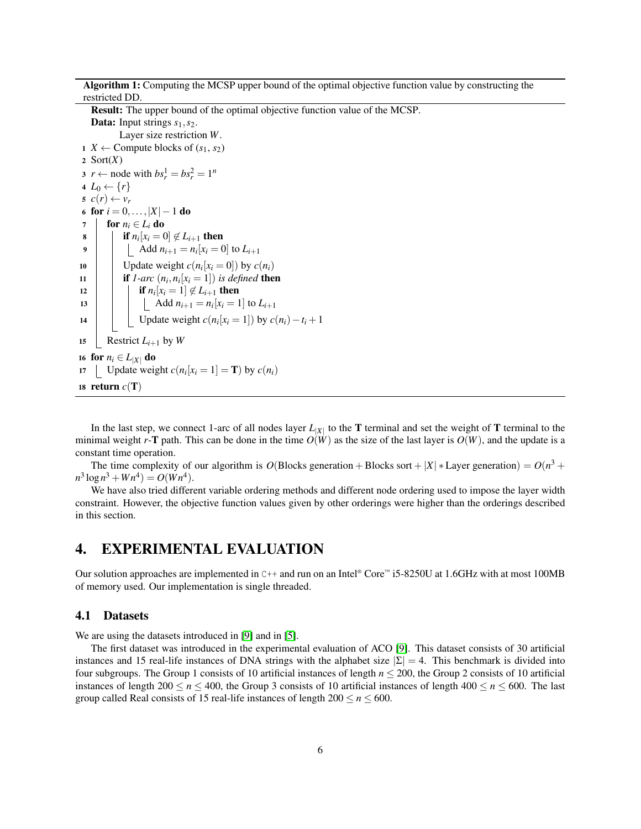Algorithm 1: Computing the MCSP upper bound of the optimal objective function value by constructing the restricted DD.

Result: The upper bound of the optimal objective function value of the MCSP. **Data:** Input strings  $s_1$ ,  $s_2$ . Layer size restriction *W*. <sup>1</sup> *X* ← Compute blocks of (*s*1, *s*2) 2 Sort $(X)$ 3  $r \leftarrow$  node with  $bs_r^1 = bs_r^2 = 1^n$ 4  $L_0 \leftarrow \{r\}$  $s \ c(r) \leftarrow v_r$ 6 for  $i = 0, ..., |X| - 1$  do 7 for  $n_i \in L_i$  do 8 **i** if  $n_i[x_i = 0] \notin L_{i+1}$  then 9  $\Box$  Add  $n_{i+1} = n_i [x_i = 0]$  to  $L_{i+1}$ 10 | Update weight  $c(n_i[x_i = 0])$  by  $c(n_i)$ 11 **if** *1-arc*  $(n_i, n_i[x_i = 1])$  *is defined* then 12 **if**  $n_i[x_i = 1] \notin L_{i+1}$  then 13  $\bigcup$  Add  $n_{i+1} = n_i [x_i = 1]$  to  $L_{i+1}$ 14 Update weight  $c(n_i[x_i = 1])$  by  $c(n_i) - t_i + 1$ 15 Restrict  $L_{i+1}$  by W 16 for  $n_i \in L_{|X|}$  do 17 | Update weight  $c(n_i[x_i = 1] = \mathbf{T})$  by  $c(n_i)$ 18 return  $c(T)$ 

<span id="page-5-1"></span>In the last step, we connect 1-arc of all nodes layer  $L_{|X|}$  to the **T** terminal and set the weight of **T** terminal to the minimal weight *r*-T path. This can be done in the time  $O(W)$  as the size of the last layer is  $O(W)$ , and the update is a constant time operation.

The time complexity of our algorithm is  $O(Blocks$  generation + Blocks sort + |X| \* Layer generation) =  $O(n^3 + 1)$  $n^3 \log n^3 + W n^4$ ) =  $O(W n^4)$ .

We have also tried different variable ordering methods and different node ordering used to impose the layer width constraint. However, the objective function values given by other orderings were higher than the orderings described in this section.

# <span id="page-5-0"></span>4. EXPERIMENTAL EVALUATION

Our solution approaches are implemented in  $C++$  and run on an Intel® Core™ i5-8250U at 1.6GHz with at most 100MB of memory used. Our implementation is single threaded.

#### 4.1 Datasets

We are using the datasets introduced in [\[9\]](#page-11-9) and in [\[5\]](#page-11-10).

The first dataset was introduced in the experimental evaluation of ACO [\[9\]](#page-11-9). This dataset consists of 30 artificial instances and 15 real-life instances of DNA strings with the alphabet size  $|\Sigma| = 4$ . This benchmark is divided into four subgroups. The Group 1 consists of 10 artificial instances of length  $n \le 200$ , the Group 2 consists of 10 artificial instances of length 200  $\leq n \leq 400$ , the Group 3 consists of 10 artificial instances of length 400  $\leq n \leq 600$ . The last group called Real consists of 15 real-life instances of length  $200 \le n \le 600$ .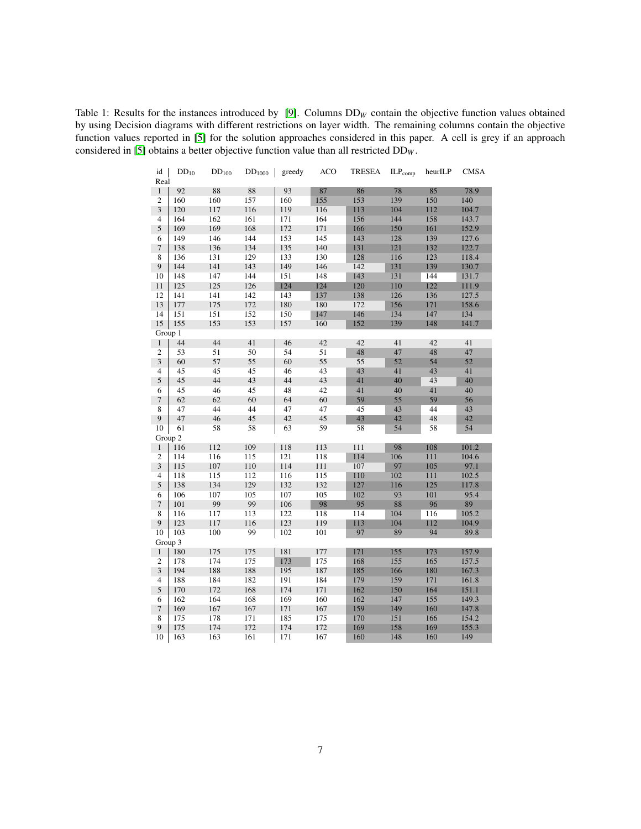<span id="page-6-0"></span>Table 1: Results for the instances introduced by [\[9\]](#page-11-9). Columns  $DD_W$  contain the objective function values obtained by using Decision diagrams with different restrictions on layer width. The remaining columns contain the objective function values reported in [\[5\]](#page-11-10) for the solution approaches considered in this paper. A cell is grey if an approach considered in [\[5\]](#page-11-10) obtains a better objective function value than all restricted DD*<sup>W</sup>* .

| id  <br>Real     | $DD_{10}$ | $DD_{100}$ | $DD_{1000}$ | greedy | <b>ACO</b> | <b>TRESEA</b> | $\mathrm{ILP}_{\mathrm{comp}}$ | heurILP | <b>CMSA</b> |
|------------------|-----------|------------|-------------|--------|------------|---------------|--------------------------------|---------|-------------|
| $\mathbf{1}$     | 92        | 88         | 88          | 93     | 87         | 86            | 78                             | 85      | 78.9        |
| $\overline{2}$   | 160       | 160        | 157         | 160    | 155        | 153           | 139                            | 150     | 140         |
| $\sqrt{3}$       | 120       | 117        | 116         | 119    | 116        | 113           | 104                            | 112     | 104.7       |
| $\overline{4}$   | 164       | 162        | 161         | 171    | 164        | 156           | 144                            | 158     | 143.7       |
| $\sqrt{5}$       | 169       | 169        | 168         | 172    | 171        | 166           | 150                            | 161     | 152.9       |
| 6                | 149       | 146        | 144         | 153    | 145        | 143           | 128                            | 139     | 127.6       |
| $\tau$           | 138       | 136        | 134         | 135    | 140        | 131           | 121                            | 132     | 122.7       |
| 8                | 136       | 131        | 129         | 133    | 130        | 128           | 116                            | 123     | 118.4       |
| 9                | 144       | 141        | 143         | 149    | 146        | 142           | 131                            | 139     | 130.7       |
| 10               | 148       | 147        | 144         | 151    | 148        | 143           | 131                            | 144     | 131.7       |
| 11               | 125       | 125        | 126         | 124    | 124        | 120           | 110                            | 122     | 111.9       |
| 12               | 141       | 141        | 142         | 143    | 137        | 138           | 126                            | 136     | 127.5       |
| 13               | 177       | 175        | 172         | 180    | 180        | 172           | 156                            | 171     | 158.6       |
| 14               | 151       | 151        | 152         | 150    | 147        | 146           | 134                            | 147     | 134         |
| 15               | 155       | 153        | 153         | 157    | 160        | 152           | 139                            | 148     | 141.7       |
| Group 1          |           |            |             |        |            |               |                                |         |             |
| $\,1$            | 44        | 44         | 41          | 46     | 42         | 42            | 41                             | 42      | 41          |
| $\boldsymbol{2}$ | 53        | 51         | 50          | 54     | 51         | 48            | 47                             | 48      | 47          |
| $\overline{3}$   | 60        | 57         | 55          | 60     | 55         | 55            | 52                             | 54      | 52          |
| $\overline{4}$   | 45        | 45         | 45          | 46     | 43         | 43            | 41                             | 43      | 41          |
| 5                | 45        | 44         | 43          | 44     | 43         | 41            | 40                             | 43      | 40          |
| 6                | 45        | 46         | 45          | 48     | 42         | 41            | 40                             | 41      | 40          |
| $\tau$           | 62        | 62         | 60          | 64     | 60         | 59            | 55                             | 59      | 56          |
| 8                | 47        | 44         | 44          | 47     | 47         | 45            | 43                             | 44      | 43          |
| 9                | 47        | 46         | 45          | 42     | 45         | 43            | 42                             | 48      | 42          |
| 10               | 61        | 58         | 58          | 63     | 59         | 58            | 54                             | 58      | 54          |
| Group 2          |           |            |             |        |            |               |                                |         |             |
| $\mathbf{1}$     | 116       | 112        | 109         | 118    | 113        | 111           | 98                             | 108     | 101.2       |
| $\mathfrak{2}$   | 114       | 116        | 115         | 121    | 118        | 114           | 106                            | 111     | 104.6       |
| 3                | 115       | 107        | 110         | 114    | 111        | 107           | 97                             | 105     | 97.1        |
| 4                | 118       | 115        | 112         | 116    | 115        | 110           | 102                            | 111     | 102.5       |
| $\mathfrak s$    | 138       | 134        | 129         | 132    | 132        | 127           | 116                            | 125     | 117.8       |
| 6                | 106       | 107        | 105         | 107    | 105        | 102           | 93                             | 101     | 95.4        |
| $\boldsymbol{7}$ | 101       | 99         | 99          | 106    | 98         | 95            | 88                             | 96      | 89          |
| 8                | 116       | 117        | 113         | 122    | 118        | 114           | 104                            | 116     | 105.2       |
| 9                | 123       | 117        | 116         | 123    | 119        | 113           | 104                            | 112     | 104.9       |
| 10               | 103       | 100        | 99          | 102    | 101        | 97            | 89                             | 94      | 89.8        |
| Group 3          |           |            |             |        |            |               |                                |         |             |
| $\mathbf{1}$     | 180       | 175        | 175         | 181    | 177        | 171           | 155                            | 173     | 157.9       |
| $\mathfrak{2}$   | 178       | 174        | 175         | 173    | 175        | 168           | 155                            | 165     | 157.5       |
| $\sqrt{3}$       | 194       | 188        | 188         | 195    | 187        | 185           | 166                            | 180     | 167.3       |
| 4                | 188       | 184        | 182         | 191    | 184        | 179           | 159                            | 171     | 161.8       |
| $\sqrt{5}$       | 170       | 172        | 168         | 174    | 171        | 162           | 150                            | 164     | 151.1       |
| 6                | 162       | 164        | 168         | 169    | 160        | 162           | 147                            | 155     | 149.3       |
| $\tau$           | 169       | 167        | 167         | 171    | 167        | 159           | 149                            | 160     | 147.8       |
| 8                | 175       | 178        | 171         | 185    | 175        | 170           | 151                            | 166     | 154.2       |
| 9                | 175       | 174        | 172         | 174    | 172        | 169           | 158                            | 169     | 155.3       |
| 10               | 163       | 163        | 161         | 171    | 167        | 160           | 148                            | 160     | 149         |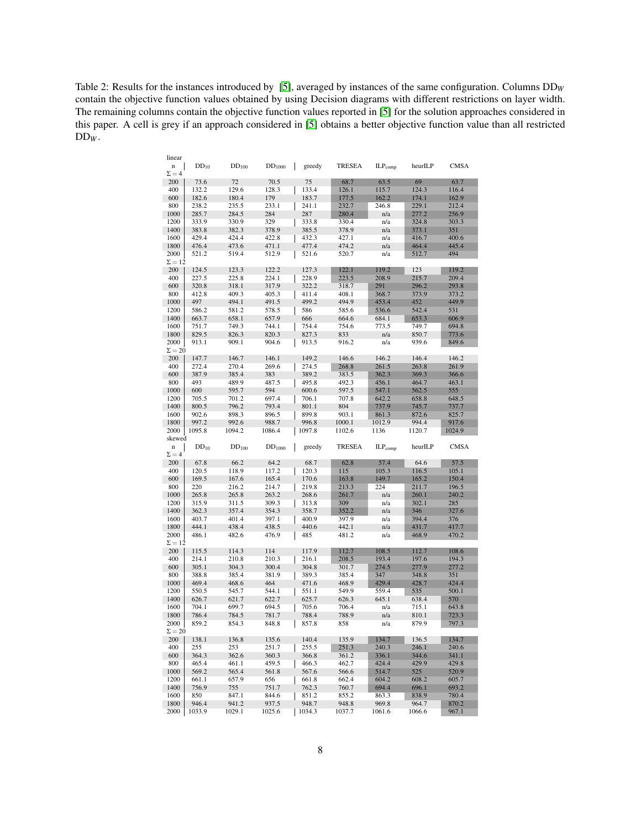<span id="page-7-0"></span>Table 2: Results for the instances introduced by [\[5\]](#page-11-10), averaged by instances of the same configuration. Columns DD*<sup>W</sup>* contain the objective function values obtained by using Decision diagrams with different restrictions on layer width. The remaining columns contain the objective function values reported in [\[5\]](#page-11-10) for the solution approaches considered in this paper. A cell is grey if an approach considered in [\[5\]](#page-11-10) obtains a better objective function value than all restricted DD*<sup>W</sup>* .

| linear                  |                 |                 |                 |                 |                 |                 |                 |                |
|-------------------------|-----------------|-----------------|-----------------|-----------------|-----------------|-----------------|-----------------|----------------|
| n<br>$\Sigma = 4$       | $DD_{10}$       | $DD_{100}$      | $DD_{1000}$     | greedy          | TRESEA          | $ILP_{comp}$    | heurILP         | <b>CMSA</b>    |
| 200                     | 73.6            | 72              | 70.5            | 75              | 68.7            | 63.5            | 69              | 63.7           |
| 400                     | 132.2           | 129.6           | 128.3           | 133.4           | 126.1           | 115.7           | 124.3           | 116.4          |
| 600                     | 182.6           | 180.4           | 179             | 183.7           | 177.5           | 162.2           | 174.1           | 162.9          |
| 800                     | 238.2           | 235.5           | 233.1           | 241.1           | 232.7           | 246.8           | 229.1           | 212.4          |
| 1000                    | 285.7           | 284.5           | 284             | 287             | 280.4           | n/a             | 277.2           | 256.9          |
| 1200                    | 333.9           | 330.9           | 329             | 333.8           | 330.4           | n/a             | 324.8           | 303.3          |
| 1400<br>1600            | 383.8<br>429.4  | 382.3           | 378.9<br>422.8  | 385.5           | 378.9           | n/a             | 373.1           | 351            |
| 1800                    | 476.4           | 424.4<br>473.6  | 471.1           | 432.3<br>477.4  | 427.1<br>474.2  | n/a<br>n/a      | 416.7<br>464.4  | 400.6<br>445.4 |
| 2000                    | 521.2           | 519.4           | 512.9           | 521.6           | 520.7           | n/a             | 512.7           | 494            |
| $\Sigma=12$             |                 |                 |                 |                 |                 |                 |                 |                |
| 200                     | 124.5           | 123.3           | 122.2           | 127.3           | 122.1           | 119.2           | 123             | 119.2          |
| 400                     | 227.5           | 225.8           | 224.1           | 228.9           | 223.5           | 208.9           | 215.7           | 209.4          |
| 600                     | 320.8           | 318.1           | 317.9           | 322.2           | 318.7           | 291             | 296.2           | 293.8          |
| 800                     | 412.8           | 409.3           | 405.3           | 411.4           | 408.1           | 368.7           | 373.9           | 373.2          |
| 1000                    | 497             | 494.1           | 491.5           | 499.2           | 494.9           | 453.4           | 452             | 449.9          |
| 1200                    | 586.2           | 581.2           | 578.5           | 586             | 585.6           | 536.6           | 542.4           | 531            |
| 1400                    | 663.7           | 658.1           | 657.9           | 666             | 664.6           | 684.1           | 653.3           | 606.9          |
| 1600                    | 751.7           | 749.3           | 744.1           | 754.4           | 754.6           | 773.5           | 749.7           | 694.8          |
| 1800<br>2000            | 829.5<br>913.1  | 826.3<br>909.1  | 820.3<br>904.6  | 827.3<br>913.5  | 833<br>916.2    | n/a<br>n/a      | 850.7<br>939.6  | 773.6<br>849.6 |
| $\Sigma = 20$           |                 |                 |                 |                 |                 |                 |                 |                |
| 200                     | 147.7           | 146.7           | 146.1           | 149.2           | 146.6           | 146.2           | 146.4           | 146.2          |
| 400                     | 272.4           | 270.4           | 269.6           | 274.5           | 268.8           | 261.5           | 263.8           | 261.9          |
| 600                     | 387.9           | 385.4           | 383             | 389.2           | 383.5           | 362.3           | 369.3           | 366.6          |
| 800                     | 493             | 489.9           | 487.5           | 495.8           | 492.3           | 456.1           | 464.7           | 463.1          |
| 1000                    | 600             | 595.7           | 594             | 600.6           | 597.5           | 547.1           | 562.5           | 555            |
| 1200                    | 705.5           | 701.2           | 697.4           | 706.1           | 707.8           | 642.2           | 658.8           | 648.5          |
| 1400                    | 800.5           | 796.2           | 793.4           | 801.1           | 804             | 737.9           | 745.7           | 737.7          |
| 1600                    | 902.6           | 898.3           | 896.5           | 899.8           | 903.1           | 861.3           | 872.6           | 825.7          |
| 1800                    | 997.2           | 992.6           | 988.7           | 996.8           | 1000.1          | 1012.9          | 994.4           | 917.6          |
|                         |                 |                 |                 |                 |                 |                 |                 |                |
| 2000                    | 1095.8          | 1094.2          | 1086.4          | 1097.8          | 1102.6          | 1136            | 1120.7          | 1024.9         |
| skewed                  |                 |                 |                 |                 |                 |                 |                 |                |
| n<br>$\Sigma = 4$       | $DD_{10}$       | $DD_{100}$      | $DD_{1000}$     | greedy          | <b>TRESEA</b>   | $ILP_{comp}$    | heurILP         | <b>CMSA</b>    |
| 200                     | 67.8            | 66.2            | 64.2            | 68.7            | 62.8            | 57.4            | 64.6            | 57.5           |
| 400                     | 120.5           | 118.9           | 117.2           | 120.3           | 115             | 105.3           | 116.5           | 105.1          |
| 600                     | 169.5           | 167.6           | 165.4           | 170.6           | 163.8           | 149.7           | 165.2           | 150.4          |
| 800                     | 220             | 216.2           | 214.7           | 219.8           | 213.3           | 224             | 211.7           | 196.5          |
| 1000                    | 265.8           | 265.8           | 263.2           | 268.6           | 261.7           | n/a             | 260.1           | 240.2          |
| 1200                    | 315.9           | 311.5           | 309.3           | 313.8           | 309             | n/a             | 302.1           | 285            |
| 1400                    | 362.3           | 357.4           | 354.3           | 358.7           | 352.2           | n/a             | 346             | 327.6          |
| 1600                    | 403.7           | 401.4           | 397.1           | 400.9           | 397.9           | n/a             | 394.4           | 376            |
| 1800                    | 444.1           | 438.4           | 438.5           | 440.6           | 442.1           | n/a             | 431.7           | 417.7          |
| 2000<br>$\Sigma = 12$   | 486.1           | 482.6           | 476.9           | 485             | 481.2           | n/a             | 468.9           | 470.2          |
| 200                     | 115.5           | 114.3           | 114             | 117.9           | 112.7           | 108.5           | 112.7           | 108.6          |
| 400                     | 214.1           | 210.8           | 210.3           | 216.1           | 208.5           | 193.4           | 197.6           | 194.3          |
| 600                     | 305.1           | 304.3           | 300.4           | 304.8           | 301.7           | 274.5           | 277.9           | 277.2          |
| 800                     | 388.8           | 385.4           | 381.9           | 389.3           | 385.4           | 347             | 348.8           | 351            |
| 1000                    | 469.4           | 468.6           | 464             | 471.6           | 468.9           | 429.4           | 428.7           | 424.4          |
| 1200                    | 550.5           | 545.7           | 544.1           | 551.1           | 549.9           | 559.4           | 535             | 500.1          |
| 1400                    | 626.7           | 621.7           | 622.7           | 625.7           | 626.3           | 645.1           | 638.4           | 570            |
| 1600                    | 704.1           | 699.7           | 694.5           | 705.6           | 706.4           | n/a             | 715.1           | 643.8          |
| 1800                    | 786.4           | 784.5           | 781.7           | 788.4           | 788.9           | n/a             | 810.1           | 723.3          |
| 2000  <br>$\Sigma = 20$ | 859.2           | 854.3           | 848.8           | 857.8           | 838             | n/a             | 879.9           | 797.3          |
| 200                     | 138.1           | 136.8           | 135.6           | 140.4           | 135.9           | 134.7           | 136.5           | 134.7          |
| 400                     | 255             | 253             | 251.7           | 255.5           | 251.3           | 240.3           | 246.1           | 240.6          |
| 600                     | 364.3           | 362.6           | 360.3           | 366.8           | 361.2           | 336.1           | 344.6           | 341.1          |
| 800                     | 465.4           | 461.1           | 459.5           | 466.3           | 462.7           | 424.4           | 429.9           | 429.8          |
| 1000                    | 569.2           | 565.4           | 561.8           | 567.6           | 566.6           | 514.7           | 525             | 520.9          |
| 1200                    | 661.1           | 657.9           | 656             | 661.8           | 662.4           | 604.2           | 608.2           | 605.7          |
| 1400                    | 756.9           | 755             | 751.7           | 762.3           | 760.7           | 694.4           | 696.1           | 693.2          |
| 1600                    | 850             | 847.1           | 844.6           | 851.2           | 855.2           | 863.3           | 838.9           | 780.4          |
| 1800<br>2000            | 946.4<br>1033.9 | 941.2<br>1029.1 | 937.5<br>1025.6 | 948.7<br>1034.3 | 948.8<br>1037.7 | 969.8<br>1061.6 | 964.7<br>1066.6 | 870.2<br>967.1 |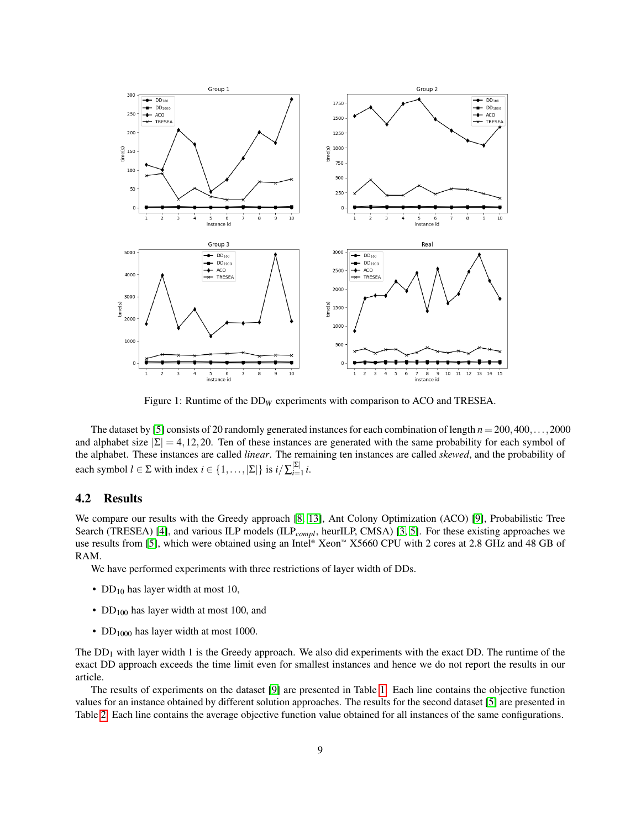<span id="page-8-0"></span>

Figure 1: Runtime of the DD<sub>W</sub> experiments with comparison to ACO and TRESEA.

The dataset by [\[5\]](#page-11-10) consists of 20 randomly generated instances for each combination of length *n* = 200,400,...,2000 and alphabet size  $|\Sigma| = 4, 12, 20$ . Ten of these instances are generated with the same probability for each symbol of the alphabet. These instances are called *linear*. The remaining ten instances are called *skewed*, and the probability of each symbol  $l \in \Sigma$  with index  $i \in \{1, ..., |\Sigma|\}$  is  $i/\sum_{i=1}^{|\Sigma|} i$ .

#### 4.2 Results

We compare our results with the Greedy approach [\[8,](#page-11-7) [13\]](#page-11-8), Ant Colony Optimization (ACO) [\[9\]](#page-11-9), Probabilistic Tree Search (TRESEA) [\[4\]](#page-10-0), and various ILP models (ILP<sub>compl</sub>, heurILP, CMSA) [\[3,](#page-10-2) [5\]](#page-11-10). For these existing approaches we use results from [\[5\]](#page-11-10), which were obtained using an Intel® Xeon™ X5660 CPU with 2 cores at 2.8 GHz and 48 GB of RAM.

We have performed experiments with three restrictions of layer width of DDs.

- DD<sub>10</sub> has layer width at most 10,
- DD<sub>100</sub> has layer width at most 100, and
- DD<sub>1000</sub> has layer width at most 1000.

The  $DD<sub>1</sub>$  with layer width 1 is the Greedy approach. We also did experiments with the exact DD. The runtime of the exact DD approach exceeds the time limit even for smallest instances and hence we do not report the results in our article.

The results of experiments on the dataset [\[9\]](#page-11-9) are presented in Table [1.](#page-6-0) Each line contains the objective function values for an instance obtained by different solution approaches. The results for the second dataset [\[5\]](#page-11-10) are presented in Table [2.](#page-7-0) Each line contains the average objective function value obtained for all instances of the same configurations.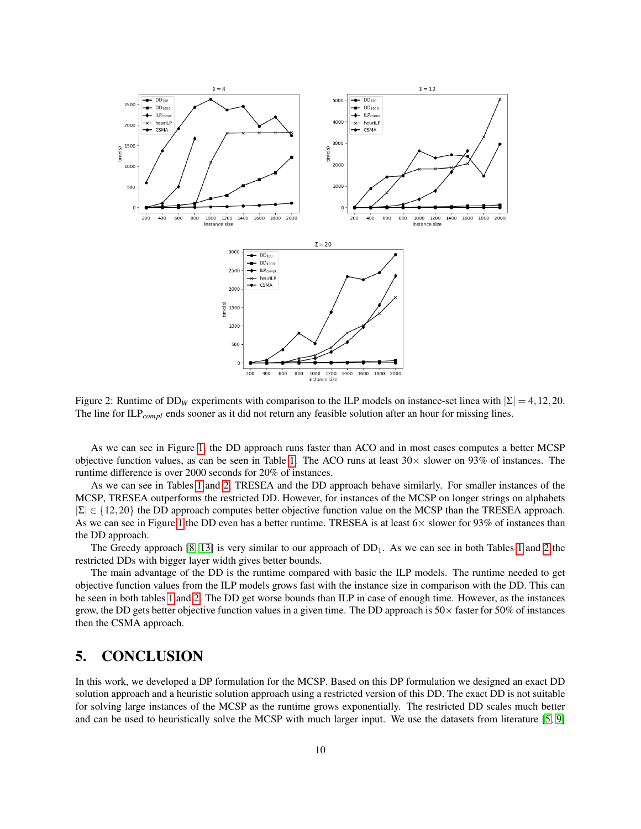

Figure 2: Runtime of DD<sub>W</sub> experiments with comparison to the ILP models on instance-set linea with  $|\Sigma| = 4, 12, 20$ . The line for ILP*compl* ends sooner as it did not return any feasible solution after an hour for missing lines.

As we can see in Figure [1,](#page-8-0) the DD approach runs faster than ACO and in most cases computes a better MCSP objective function values, as can be seen in Table [1.](#page-6-0) The ACO runs at least  $30\times$  slower on 93% of instances. The runtime difference is over 2000 seconds for 20% of instances.

As we can see in Tables [1](#page-6-0) and [2,](#page-7-0) TRESEA and the DD approach behave similarly. For smaller instances of the MCSP, TRESEA outperforms the restricted DD. However, for instances of the MCSP on longer strings on alphabets  $|\Sigma| \in \{12, 20\}$  the DD approach computes better objective function value on the MCSP than the TRESEA approach. As we can see in Figure [1](#page-8-0) the DD even has a better runtime. TRESEA is at least  $6\times$  slower for 93% of instances than the DD approach.

The Greedy approach  $[8, 13]$  $[8, 13]$  is very similar to our approach of  $DD<sub>1</sub>$ . As we can see in both Tables [1](#page-6-0) and [2](#page-7-0) the restricted DDs with bigger layer width gives better bounds.

The main advantage of the DD is the runtime compared with basic the ILP models. The runtime needed to get objective function values from the ILP models grows fast with the instance size in comparison with the DD. This can be seen in both tables [1](#page-6-0) and [2.](#page-7-0) The DD get worse bounds than ILP in case of enough time. However, as the instances grow, the DD gets better objective function values in a given time. The DD approach is  $50\times$  faster for  $50\%$  of instances then the CSMA approach.

# <span id="page-9-0"></span>5. CONCLUSION

In this work, we developed a DP formulation for the MCSP. Based on this DP formulation we designed an exact DD solution approach and a heuristic solution approach using a restricted version of this DD. The exact DD is not suitable for solving large instances of the MCSP as the runtime grows exponentially. The restricted DD scales much better and can be used to heuristically solve the MCSP with much larger input. We use the datasets from literature [\[5,](#page-11-10) [9\]](#page-11-9)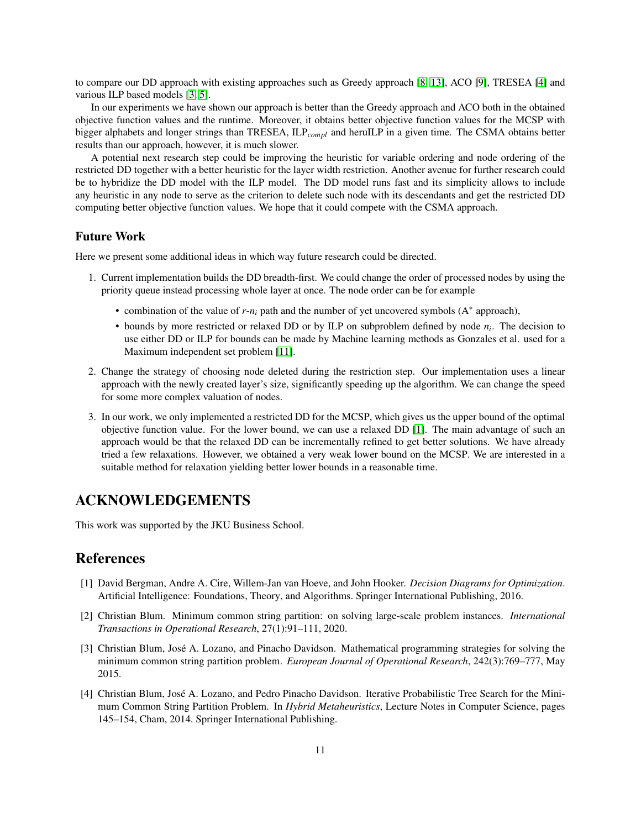to compare our DD approach with existing approaches such as Greedy approach [\[8,](#page-11-7) [13\]](#page-11-8), ACO [\[9\]](#page-11-9), TRESEA [\[4\]](#page-10-0) and various ILP based models [\[3,](#page-10-2) [5\]](#page-11-10).

In our experiments we have shown our approach is better than the Greedy approach and ACO both in the obtained objective function values and the runtime. Moreover, it obtains better objective function values for the MCSP with bigger alphabets and longer strings than TRESEA, ILP*compl* and heruILP in a given time. The CSMA obtains better results than our approach, however, it is much slower.

A potential next research step could be improving the heuristic for variable ordering and node ordering of the restricted DD together with a better heuristic for the layer width restriction. Another avenue for further research could be to hybridize the DD model with the ILP model. The DD model runs fast and its simplicity allows to include any heuristic in any node to serve as the criterion to delete such node with its descendants and get the restricted DD computing better objective function values. We hope that it could compete with the CSMA approach.

### Future Work

Here we present some additional ideas in which way future research could be directed.

- 1. Current implementation builds the DD breadth-first. We could change the order of processed nodes by using the priority queue instead processing whole layer at once. The node order can be for example
	- combination of the value of *r*-*n<sup>i</sup>* path and the number of yet uncovered symbols (A<sup>∗</sup> approach),
	- bounds by more restricted or relaxed DD or by ILP on subproblem defined by node *n<sup>i</sup>* . The decision to use either DD or ILP for bounds can be made by Machine learning methods as Gonzales et al. used for a Maximum independent set problem [\[11\]](#page-11-16).
- 2. Change the strategy of choosing node deleted during the restriction step. Our implementation uses a linear approach with the newly created layer's size, significantly speeding up the algorithm. We can change the speed for some more complex valuation of nodes.
- 3. In our work, we only implemented a restricted DD for the MCSP, which gives us the upper bound of the optimal objective function value. For the lower bound, we can use a relaxed DD [\[1\]](#page-10-3). The main advantage of such an approach would be that the relaxed DD can be incrementally refined to get better solutions. We have already tried a few relaxations. However, we obtained a very weak lower bound on the MCSP. We are interested in a suitable method for relaxation yielding better lower bounds in a reasonable time.

# ACKNOWLEDGEMENTS

This work was supported by the JKU Business School.

### References

- <span id="page-10-3"></span>[1] David Bergman, Andre A. Cire, Willem-Jan van Hoeve, and John Hooker. *Decision Diagrams for Optimization*. Artificial Intelligence: Foundations, Theory, and Algorithms. Springer International Publishing, 2016.
- <span id="page-10-1"></span>[2] Christian Blum. Minimum common string partition: on solving large-scale problem instances. *International Transactions in Operational Research*, 27(1):91–111, 2020.
- <span id="page-10-2"></span>[3] Christian Blum, José A. Lozano, and Pinacho Davidson. Mathematical programming strategies for solving the minimum common string partition problem. *European Journal of Operational Research*, 242(3):769–777, May 2015.
- <span id="page-10-0"></span>[4] Christian Blum, Jose A. Lozano, and Pedro Pinacho Davidson. Iterative Probabilistic Tree Search for the Mini- ´ mum Common String Partition Problem. In *Hybrid Metaheuristics*, Lecture Notes in Computer Science, pages 145–154, Cham, 2014. Springer International Publishing.